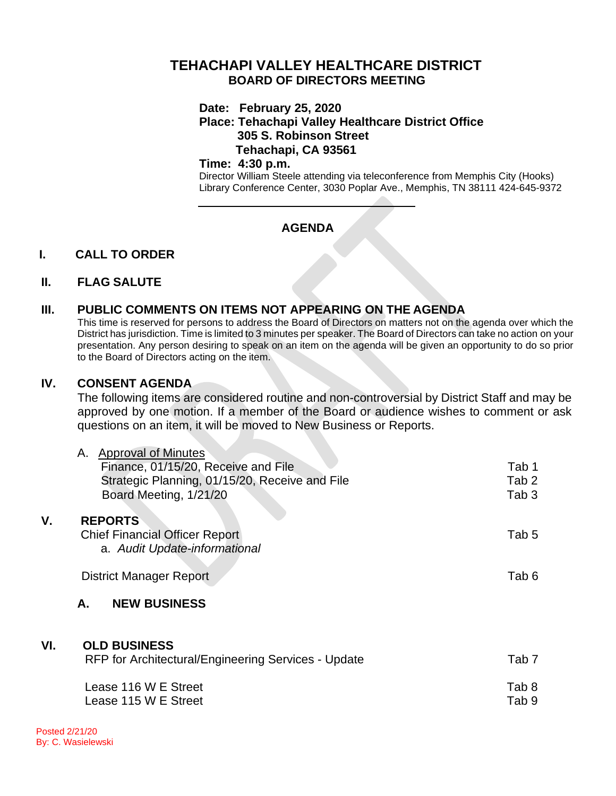# **TEHACHAPI VALLEY HEALTHCARE DISTRICT BOARD OF DIRECTORS MEETING**

#### **Date: February 25, 2020**

### **Place: Tehachapi Valley Healthcare District Office 305 S. Robinson Street Tehachapi, CA 93561**

#### **Time: 4:30 p.m.**

Director William Steele attending via teleconference from Memphis City (Hooks) Library Conference Center, 3030 Poplar Ave., Memphis, TN 38111 424-645-9372

# **AGENDA**

## **I. CALL TO ORDER**

#### **II. FLAG SALUTE**

### **III. PUBLIC COMMENTS ON ITEMS NOT APPEARING ON THE AGENDA**

This time is reserved for persons to address the Board of Directors on matters not on the agenda over which the District has jurisdiction. Time is limited to 3 minutes per speaker. The Board of Directors can take no action on your presentation. Any person desiring to speak on an item on the agenda will be given an opportunity to do so prior to the Board of Directors acting on the item.

### **IV. CONSENT AGENDA**

The following items are considered routine and non-controversial by District Staff and may be approved by one motion. If a member of the Board or audience wishes to comment or ask questions on an item, it will be moved to New Business or Reports.

| ۷.  | <b>Approval of Minutes</b><br>А.<br>Finance, 01/15/20, Receive and File<br>Strategic Planning, 01/15/20, Receive and File<br>Board Meeting, 1/21/20<br><b>REPORTS</b><br><b>Chief Financial Officer Report</b> | Tab 1<br>Tab 2<br>Tab 3<br>Tab 5 |
|-----|----------------------------------------------------------------------------------------------------------------------------------------------------------------------------------------------------------------|----------------------------------|
|     | a. Audit Update-informational<br><b>District Manager Report</b><br><b>NEW BUSINESS</b><br>А.                                                                                                                   | Tab 6                            |
| VI. | <b>OLD BUSINESS</b><br>RFP for Architectural/Engineering Services - Update<br>Lease 116 W E Street<br>Lease 115 W E Street                                                                                     | Tab 7<br>Tab 8<br>Tab 9          |
|     |                                                                                                                                                                                                                |                                  |

Posted 2/21/20 By: C. Wasielewski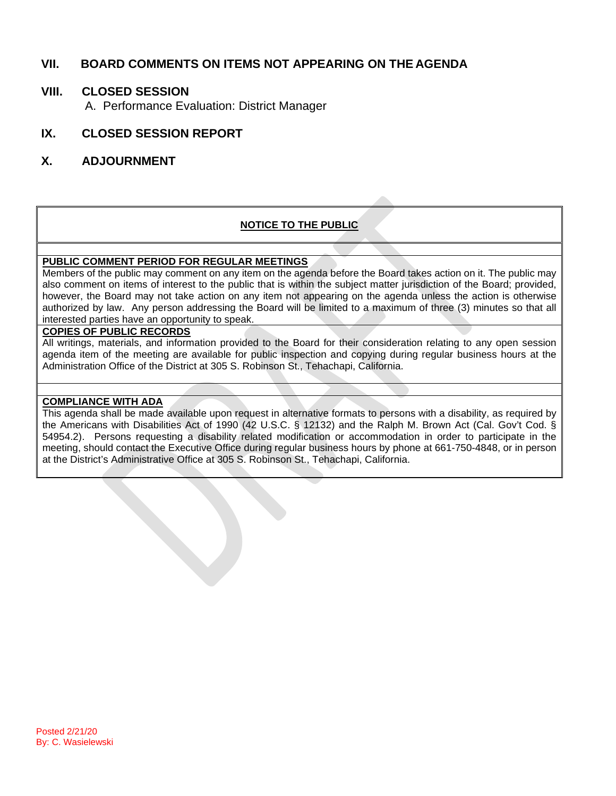## **VII. BOARD COMMENTS ON ITEMS NOT APPEARING ON THE AGENDA**

## **VIII. CLOSED SESSION**

A. Performance Evaluation: District Manager

## **IX. CLOSED SESSION REPORT**

### **X. ADJOURNMENT**

#### **NOTICE TO THE PUBLIC**

#### **PUBLIC COMMENT PERIOD FOR REGULAR MEETINGS**

Members of the public may comment on any item on the agenda before the Board takes action on it. The public may also comment on items of interest to the public that is within the subject matter jurisdiction of the Board; provided, however, the Board may not take action on any item not appearing on the agenda unless the action is otherwise authorized by law. Any person addressing the Board will be limited to a maximum of three (3) minutes so that all interested parties have an opportunity to speak.

#### **COPIES OF PUBLIC RECORDS**

All writings, materials, and information provided to the Board for their consideration relating to any open session agenda item of the meeting are available for public inspection and copying during regular business hours at the Administration Office of the District at 305 S. Robinson St., Tehachapi, California.

#### **COMPLIANCE WITH ADA**

This agenda shall be made available upon request in alternative formats to persons with a disability, as required by the Americans with Disabilities Act of 1990 (42 U.S.C. § 12132) and the Ralph M. Brown Act (Cal. Gov't Cod. § 54954.2). Persons requesting a disability related modification or accommodation in order to participate in the meeting, should contact the Executive Office during regular business hours by phone at 661-750-4848, or in person at the District's Administrative Office at 305 S. Robinson St., Tehachapi, California.